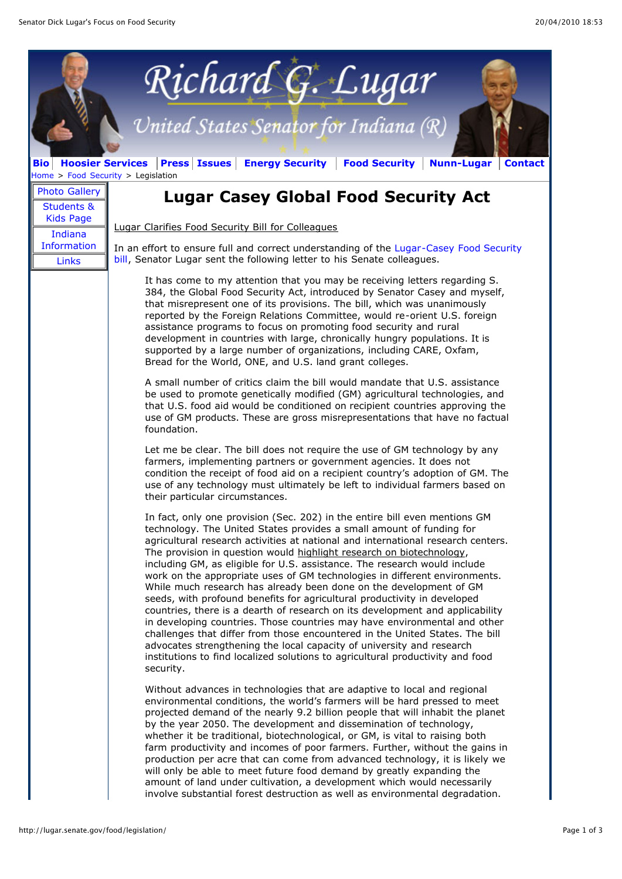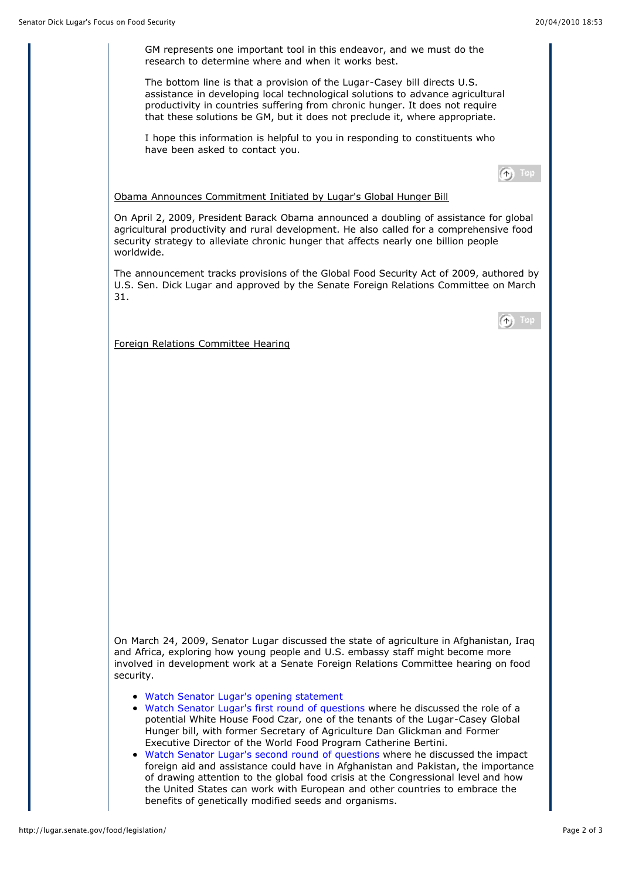GM represents one important tool in this endeavor, and we must do the research to determine where and when it works best.

The bottom line is that a provision of the Lugar-Casey bill directs U.S. assistance in developing local technological solutions to advance agricultural productivity in countries suffering from chronic hunger. It does not require that these solutions be GM, but it does not preclude it, where appropriate.

I hope this information is helpful to you in responding to constituents who have been asked to contact you.

 $\textcircled{f}$  Top

Obama Announces Commitment Initiated by Lugar's Global Hunger Bill

On April 2, 2009, President Barack Obama announced a doubling of assistance for global agricultural productivity and rural development. He also called for a comprehensive food security strategy to alleviate chronic hunger that affects nearly one billion people worldwide.

The announcement tracks provisions of the Global Food Security Act of 2009, authored by U.S. Sen. Dick Lugar and approved by the Senate Foreign Relations Committee on March 31.

| ſ^⊩i | 69 B. |
|------|-------|

Foreign Relations Committee Hearing

On March 24, 2009, Senator Lugar discussed the state of agriculture in Afghanistan, Iraq and Africa, exploring how young people and U.S. embassy staff might become more involved in development work at a Senate Foreign Relations Committee hearing on food security.

- [Watch Senator Lugar's opening statement](http://www.youtube.com/watch?v=rNRPz1uQAUo)
- [Watch Senator Lugar's first round of questions w](http://www.youtube.com/watch?v=rQ_MK-WVrnA)here he discussed the role of a potential White House Food Czar, one of the tenants of the Lugar-Casey Global Hunger bill, with former Secretary of Agriculture Dan Glickman and Former Executive Director of the World Food Program Catherine Bertini.
- [Watch Senator Lugar's second round of questions](http://www.youtube.com/watch?v=Q2Xcul_HqhE) where he discussed the impact foreign aid and assistance could have in Afghanistan and Pakistan, the importance of drawing attention to the global food crisis at the Congressional level and how the United States can work with European and other countries to embrace the benefits of genetically modified seeds and organisms.